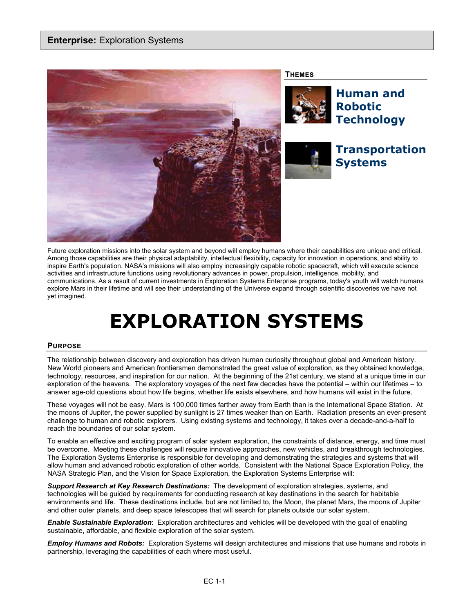

Future exploration missions into the solar system and beyond will employ humans where their capabilities are unique and critical. Among those capabilities are their physical adaptability, intellectual flexibility, capacity for innovation in operations, and ability to inspire Earth's population. NASA's missions will also employ increasingly capable robotic spacecraft, which will execute science activities and infrastructure functions using revolutionary advances in power, propulsion, intelligence, mobility, and communications. As a result of current investments in Exploration Systems Enterprise programs, today's youth will watch humans explore Mars in their lifetime and will see their understanding of the Universe expand through scientific discoveries we have not yet imagined.

# **EXPLORATION SYSTEMS**

## **PURPOSE**

The relationship between discovery and exploration has driven human curiosity throughout global and American history. New World pioneers and American frontiersmen demonstrated the great value of exploration, as they obtained knowledge, technology, resources, and inspiration for our nation. At the beginning of the 21st century, we stand at a unique time in our exploration of the heavens. The exploratory voyages of the next few decades have the potential – within our lifetimes – to answer age-old questions about how life begins, whether life exists elsewhere, and how humans will exist in the future.

These voyages will not be easy. Mars is 100,000 times farther away from Earth than is the International Space Station. At the moons of Jupiter, the power supplied by sunlight is 27 times weaker than on Earth. Radiation presents an ever-present challenge to human and robotic explorers. Using existing systems and technology, it takes over a decade-and-a-half to reach the boundaries of our solar system.

To enable an effective and exciting program of solar system exploration, the constraints of distance, energy, and time must be overcome. Meeting these challenges will require innovative approaches, new vehicles, and breakthrough technologies. The Exploration Systems Enterprise is responsible for developing and demonstrating the strategies and systems that will allow human and advanced robotic exploration of other worlds. Consistent with the National Space Exploration Policy, the NASA Strategic Plan, and the Vision for Space Exploration, the Exploration Systems Enterprise will:

*Support Research at Key Research Destinations:* The development of exploration strategies, systems, and technologies will be guided by requirements for conducting research at key destinations in the search for habitable environments and life. These destinations include, but are not limited to, the Moon, the planet Mars, the moons of Jupiter and other outer planets, and deep space telescopes that will search for planets outside our solar system.

*Enable Sustainable Exploration*: Exploration architectures and vehicles will be developed with the goal of enabling sustainable, affordable, and flexible exploration of the solar system.

*Employ Humans and Robots:* Exploration Systems will design architectures and missions that use humans and robots in partnership, leveraging the capabilities of each where most useful.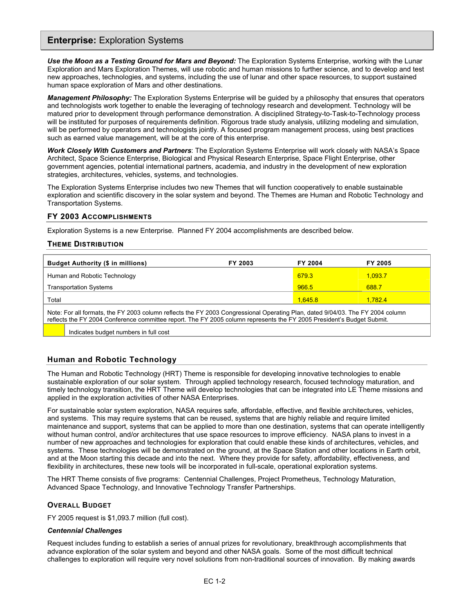# **Enterprise:** Exploration Systems

*Use the Moon as a Testing Ground for Mars and Beyond:* The Exploration Systems Enterprise, working with the Lunar Exploration and Mars Exploration Themes, will use robotic and human missions to further science, and to develop and test new approaches, technologies, and systems, including the use of lunar and other space resources, to support sustained human space exploration of Mars and other destinations.

*Management Philosophy:* The Exploration Systems Enterprise will be guided by a philosophy that ensures that operators and technologists work together to enable the leveraging of technology research and development. Technology will be matured prior to development through performance demonstration. A disciplined Strategy-to-Task-to-Technology process will be instituted for purposes of requirements definition. Rigorous trade study analysis, utilizing modeling and simulation, will be performed by operators and technologists jointly. A focused program management process, using best practices such as earned value management, will be at the core of this enterprise.

*Work Closely With Customers and Partners*: The Exploration Systems Enterprise will work closely with NASA's Space Architect, Space Science Enterprise, Biological and Physical Research Enterprise, Space Flight Enterprise, other government agencies, potential international partners, academia, and industry in the development of new exploration strategies, architectures, vehicles, systems, and technologies.

The Exploration Systems Enterprise includes two new Themes that will function cooperatively to enable sustainable exploration and scientific discovery in the solar system and beyond. The Themes are Human and Robotic Technology and Transportation Systems.

#### **FY 2003 ACCOMPLISHMENTS**

Exploration Systems is a new Enterprise. Planned FY 2004 accomplishments are described below.

#### **THEME DISTRIBUTION**

| <b>Budget Authority (\$ in millions)</b>                                                                                                                                                                                                                 | FY 2003 | FY 2004 | FY 2005 |
|----------------------------------------------------------------------------------------------------------------------------------------------------------------------------------------------------------------------------------------------------------|---------|---------|---------|
| Human and Robotic Technology                                                                                                                                                                                                                             |         | 679.3   | 1.093.7 |
| <b>Transportation Systems</b>                                                                                                                                                                                                                            |         | 966.5   | 688.7   |
| Total                                                                                                                                                                                                                                                    |         | 1.645.8 | 1.782.4 |
| Note: For all formats, the FY 2003 column reflects the FY 2003 Congressional Operating Plan, dated 9/04/03. The FY 2004 column<br>reflects the FY 2004 Conference committee report. The FY 2005 column represents the FY 2005 President's Budget Submit. |         |         |         |
| Indicates budget numbers in full cost                                                                                                                                                                                                                    |         |         |         |

## **Human and Robotic Technology**

The Human and Robotic Technology (HRT) Theme is responsible for developing innovative technologies to enable sustainable exploration of our solar system. Through applied technology research, focused technology maturation, and timely technology transition, the HRT Theme will develop technologies that can be integrated into LE Theme missions and applied in the exploration activities of other NASA Enterprises.

For sustainable solar system exploration, NASA requires safe, affordable, effective, and flexible architectures, vehicles, and systems. This may require systems that can be reused, systems that are highly reliable and require limited maintenance and support, systems that can be applied to more than one destination, systems that can operate intelligently without human control, and/or architectures that use space resources to improve efficiency. NASA plans to invest in a number of new approaches and technologies for exploration that could enable these kinds of architectures, vehicles, and systems. These technologies will be demonstrated on the ground, at the Space Station and other locations in Earth orbit, and at the Moon starting this decade and into the next. Where they provide for safety, affordability, effectiveness, and flexibility in architectures, these new tools will be incorporated in full-scale, operational exploration systems.

The HRT Theme consists of five programs: Centennial Challenges, Project Prometheus, Technology Maturation, Advanced Space Technology, and Innovative Technology Transfer Partnerships.

## **OVERALL BUDGET**

FY 2005 request is \$1,093.7 million (full cost).

#### *Centennial Challenges*

Request includes funding to establish a series of annual prizes for revolutionary, breakthrough accomplishments that advance exploration of the solar system and beyond and other NASA goals. Some of the most difficult technical challenges to exploration will require very novel solutions from non-traditional sources of innovation. By making awards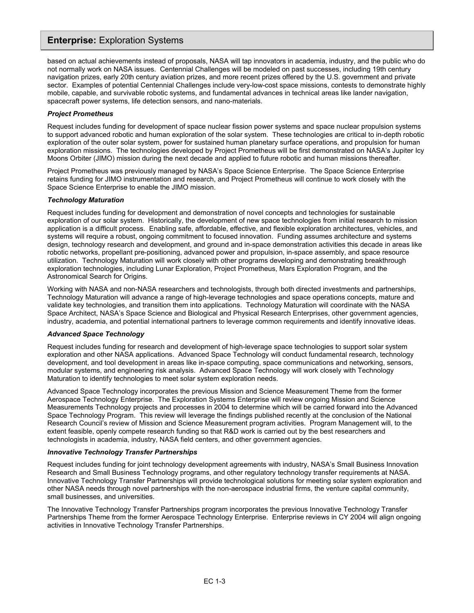# **Enterprise:** Exploration Systems

based on actual achievements instead of proposals, NASA will tap innovators in academia, industry, and the public who do not normally work on NASA issues. Centennial Challenges will be modeled on past successes, including 19th century navigation prizes, early 20th century aviation prizes, and more recent prizes offered by the U.S. government and private sector. Examples of potential Centennial Challenges include very-low-cost space missions, contests to demonstrate highly mobile, capable, and survivable robotic systems, and fundamental advances in technical areas like lander navigation, spacecraft power systems, life detection sensors, and nano-materials.

#### *Project Prometheus*

Request includes funding for development of space nuclear fission power systems and space nuclear propulsion systems to support advanced robotic and human exploration of the solar system. These technologies are critical to in-depth robotic exploration of the outer solar system, power for sustained human planetary surface operations, and propulsion for human exploration missions. The technologies developed by Project Prometheus will be first demonstrated on NASA's Jupiter Icy Moons Orbiter (JIMO) mission during the next decade and applied to future robotic and human missions thereafter.

Project Prometheus was previously managed by NASA's Space Science Enterprise. The Space Science Enterprise retains funding for JIMO instrumentation and research, and Project Prometheus will continue to work closely with the Space Science Enterprise to enable the JIMO mission.

#### *Technology Maturation*

Request includes funding for development and demonstration of novel concepts and technologies for sustainable exploration of our solar system. Historically, the development of new space technologies from initial research to mission application is a difficult process. Enabling safe, affordable, effective, and flexible exploration architectures, vehicles, and systems will require a robust, ongoing commitment to focused innovation. Funding assumes architecture and systems design, technology research and development, and ground and in-space demonstration activities this decade in areas like robotic networks, propellant pre-positioning, advanced power and propulsion, in-space assembly, and space resource utilization. Technology Maturation will work closely with other programs developing and demonstrating breakthrough exploration technologies, including Lunar Exploration, Project Prometheus, Mars Exploration Program, and the Astronomical Search for Origins.

Working with NASA and non-NASA researchers and technologists, through both directed investments and partnerships, Technology Maturation will advance a range of high-leverage technologies and space operations concepts, mature and validate key technologies, and transition them into applications. Technology Maturation will coordinate with the NASA Space Architect, NASA's Space Science and Biological and Physical Research Enterprises, other government agencies, industry, academia, and potential international partners to leverage common requirements and identify innovative ideas.

#### *Advanced Space Technology*

Request includes funding for research and development of high-leverage space technologies to support solar system exploration and other NASA applications. Advanced Space Technology will conduct fundamental research, technology development, and tool development in areas like in-space computing, space communications and networking, sensors, modular systems, and engineering risk analysis. Advanced Space Technology will work closely with Technology Maturation to identify technologies to meet solar system exploration needs.

Advanced Space Technology incorporates the previous Mission and Science Measurement Theme from the former Aerospace Technology Enterprise. The Exploration Systems Enterprise will review ongoing Mission and Science Measurements Technology projects and processes in 2004 to determine which will be carried forward into the Advanced Space Technology Program. This review will leverage the findings published recently at the conclusion of the National Research Council's review of Mission and Science Measurement program activities. Program Management will, to the extent feasible, openly compete research funding so that R&D work is carried out by the best researchers and technologists in academia, industry, NASA field centers, and other government agencies.

#### *Innovative Technology Transfer Partnerships*

Request includes funding for joint technology development agreements with industry, NASA's Small Business Innovation Research and Small Business Technology programs, and other regulatory technology transfer requirements at NASA. Innovative Technology Transfer Partnerships will provide technological solutions for meeting solar system exploration and other NASA needs through novel partnerships with the non-aerospace industrial firms, the venture capital community, small businesses, and universities.

The Innovative Technology Transfer Partnerships program incorporates the previous Innovative Technology Transfer Partnerships Theme from the former Aerospace Technology Enterprise. Enterprise reviews in CY 2004 will align ongoing activities in Innovative Technology Transfer Partnerships.